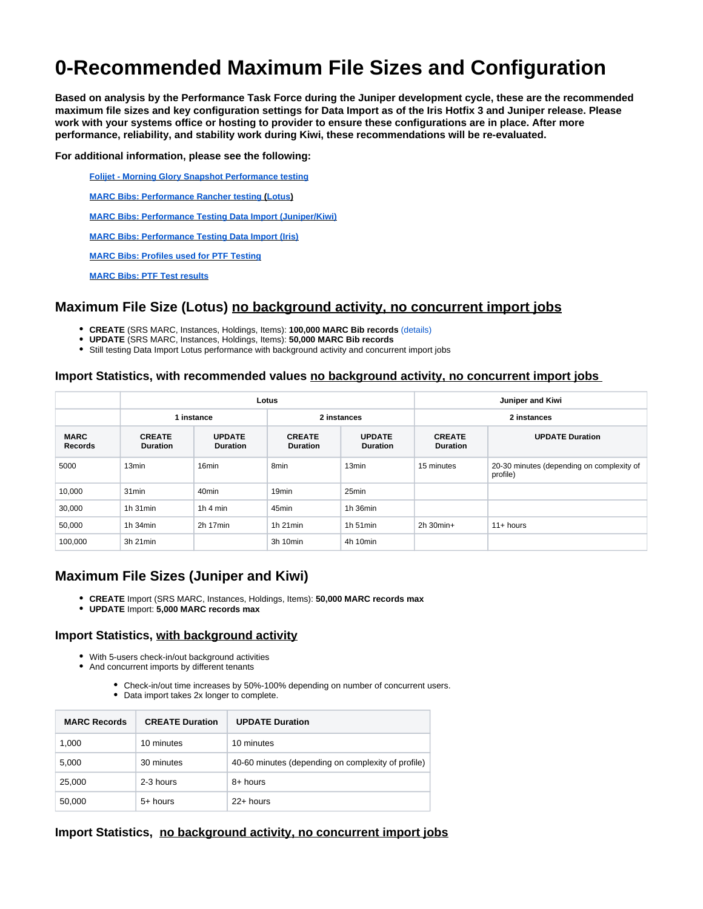# **0-Recommended Maximum File Sizes and Configuration**

**Based on analysis by the Performance Task Force during the Juniper development cycle, these are the recommended maximum file sizes and key configuration settings for Data Import as of the Iris Hotfix 3 and Juniper release. Please work with your systems office or hosting to provider to ensure these configurations are in place. After more performance, reliability, and stability work during Kiwi, these recommendations will be re-evaluated.**

**For additional information, please see the following:**

**[Folijet - Morning Glory Snapshot Performance testing](https://wiki.folio.org/display/FOLIJET/Folijet+-+Morning+Glory+Snapshot+Performance+testing)**

**[MARC Bibs: Performance Rancher testing](https://wiki.folio.org/display/FOLIJET/Folijet+-+Lotus+Snapshot+Performance+testing) ([Lotus](https://wiki.folio.org/display/FOLIJET/Folijet+-+Lotus+Snapshot+Performance+testing))**

**[MARC Bibs: Performance Testing Data Import \(Juniper/Kiwi\)](https://wiki.folio.org/pages/viewpage.action?pageId=79462665)**

**[MARC Bibs: Performance Testing Data Import \(Iris\)](https://wiki.folio.org/pages/viewpage.action?pageId=65111311)**

**[MARC Bibs: Profiles used for PTF Testing](https://docs.google.com/spreadsheets/d/1RhD1oRG7gkFY2xolIQFtZyCg-7oHH6yio54L30EdARw/edit?usp=sharing)**

**[MARC Bibs: PTF Test results](https://docs.google.com/spreadsheets/d/1NqaQ6FOgXpVyolPrr6yy-vL8QB3YWhAYudh8KY1z3Uo/edit)**

### **Maximum File Size (Lotus) no background activity, no concurrent import jobs**

- **CREATE** (SRS MARC, Instances, Holdings, Items): **100,000 MARC Bib records** [\(details\)](https://wiki.folio.org/display/FOLIJET/Folijet+-+Lotus+Snapshot+Performance+testing)
- **UPDATE** (SRS MARC, Instances, Holdings, Items): **50,000 MARC Bib records**
- Still testing Data Import Lotus performance with background activity and concurrent import jobs

#### **Import Statistics, with recommended values no background activity, no concurrent import jobs**

|                               |                                  |                                  | Lotus                            | Juniper and Kiwi                 |                                  |                                                       |
|-------------------------------|----------------------------------|----------------------------------|----------------------------------|----------------------------------|----------------------------------|-------------------------------------------------------|
|                               | 1 instance                       |                                  | 2 instances                      |                                  | 2 instances                      |                                                       |
| <b>MARC</b><br><b>Records</b> | <b>CREATE</b><br><b>Duration</b> | <b>UPDATE</b><br><b>Duration</b> | <b>CREATE</b><br><b>Duration</b> | <b>UPDATE</b><br><b>Duration</b> | <b>CREATE</b><br><b>Duration</b> | <b>UPDATE Duration</b>                                |
| 5000                          | 13 <sub>min</sub>                | 16 <sub>min</sub>                | 8 <sub>min</sub>                 | 13 <sub>min</sub>                | 15 minutes                       | 20-30 minutes (depending on complexity of<br>profile) |
| 10,000                        | 31 <sub>min</sub>                | 40 <sub>min</sub>                | 19 <sub>min</sub>                | 25min                            |                                  |                                                       |
| 30,000                        | $1h$ 31 $min$                    | 1 $h$ 4 min                      | 45min                            | 1h 36min                         |                                  |                                                       |
| 50,000                        | $1h$ 34 $min$                    | $2h$ 17 $min$                    | $1h$ 21 $min$                    | 1h $51$ min                      | $2h$ 30 $min+$                   | $11+$ hours                                           |
| 100,000                       | 3h 21 min                        |                                  | 3h 10min                         | 4h 10min                         |                                  |                                                       |

### **Maximum File Sizes (Juniper and Kiwi)**

- **CREATE** Import (SRS MARC, Instances, Holdings, Items): **50,000 MARC records max**
- **UPDATE** Import: **5,000 MARC records max**

#### **Import Statistics, with background activity**

- With 5-users check-in/out background activities
- And concurrent imports by different tenants
	- Check-in/out time increases by 50%-100% depending on number of concurrent users. Data import takes 2x longer to complete.

| <b>MARC Records</b> | <b>CREATE Duration</b> | <b>UPDATE Duration</b>                             |
|---------------------|------------------------|----------------------------------------------------|
| 1,000               | 10 minutes             | 10 minutes                                         |
| 5,000               | 30 minutes             | 40-60 minutes (depending on complexity of profile) |
| 25,000              | 2-3 hours              | 8+ hours                                           |
| 50,000              | 5+ hours               | $22+$ hours                                        |

#### **Import Statistics, no background activity, no concurrent import jobs**